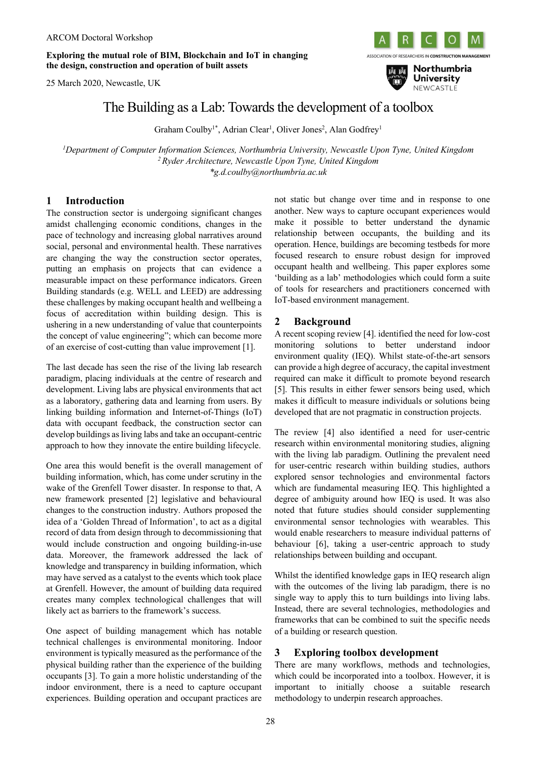**Exploring the mutual role of BIM, Blockchain and IoT in changing the design, construction and operation of built assets**

25 March 2020, Newcastle, UK





# The Building as a Lab: Towards the development of a toolbox

Graham Coulby<sup>1\*</sup>, Adrian Clear<sup>1</sup>, Oliver Jones<sup>2</sup>, Alan Godfrey<sup>1</sup>

*1 Department of Computer Information Sciences, Northumbria University, Newcastle Upon Tyne, United Kingdom <sup>2</sup> Ryder Architecture, Newcastle Upon Tyne, United Kingdom \*g.d.coulby@northumbria.ac.uk*

### **1 Introduction**

The construction sector is undergoing significant changes amidst challenging economic conditions, changes in the pace of technology and increasing global narratives around social, personal and environmental health. These narratives are changing the way the construction sector operates, putting an emphasis on projects that can evidence a measurable impact on these performance indicators. Green Building standards (e.g. WELL and LEED) are addressing these challenges by making occupant health and wellbeing a focus of accreditation within building design. This is ushering in a new understanding of value that counterpoints the concept of value engineering"; which can become more of an exercise of cost-cutting than value improvement [1].

The last decade has seen the rise of the living lab research paradigm, placing individuals at the centre of research and development. Living labs are physical environments that act as a laboratory, gathering data and learning from users. By linking building information and Internet-of-Things (IoT) data with occupant feedback, the construction sector can develop buildings as living labs and take an occupant-centric approach to how they innovate the entire building lifecycle.

One area this would benefit is the overall management of building information, which, has come under scrutiny in the wake of the Grenfell Tower disaster. In response to that, A new framework presented [2] legislative and behavioural changes to the construction industry. Authors proposed the idea of a 'Golden Thread of Information', to act as a digital record of data from design through to decommissioning that would include construction and ongoing building-in-use data. Moreover, the framework addressed the lack of knowledge and transparency in building information, which may have served as a catalyst to the events which took place at Grenfell. However, the amount of building data required creates many complex technological challenges that will likely act as barriers to the framework's success.

One aspect of building management which has notable technical challenges is environmental monitoring. Indoor environment is typically measured as the performance of the physical building rather than the experience of the building occupants [3]. To gain a more holistic understanding of the indoor environment, there is a need to capture occupant experiences. Building operation and occupant practices are not static but change over time and in response to one another. New ways to capture occupant experiences would make it possible to better understand the dynamic relationship between occupants, the building and its operation. Hence, buildings are becoming testbeds for more focused research to ensure robust design for improved occupant health and wellbeing. This paper explores some 'building as a lab' methodologies which could form a suite of tools for researchers and practitioners concerned with IoT-based environment management.

## **2 Background**

A recent scoping review [4]. identified the need for low-cost monitoring solutions to better understand indoor environment quality (IEQ). Whilst state-of-the-art sensors can provide a high degree of accuracy, the capital investment required can make it difficult to promote beyond research [5]. This results in either fewer sensors being used, which makes it difficult to measure individuals or solutions being developed that are not pragmatic in construction projects.

The review [4] also identified a need for user-centric research within environmental monitoring studies, aligning with the living lab paradigm. Outlining the prevalent need for user-centric research within building studies, authors explored sensor technologies and environmental factors which are fundamental measuring IEQ. This highlighted a degree of ambiguity around how IEQ is used. It was also noted that future studies should consider supplementing environmental sensor technologies with wearables. This would enable researchers to measure individual patterns of behaviour [6], taking a user-centric approach to study relationships between building and occupant.

Whilst the identified knowledge gaps in IEQ research align with the outcomes of the living lab paradigm, there is no single way to apply this to turn buildings into living labs. Instead, there are several technologies, methodologies and frameworks that can be combined to suit the specific needs of a building or research question.

## **3 Exploring toolbox development**

There are many workflows, methods and technologies, which could be incorporated into a toolbox. However, it is important to initially choose a suitable research methodology to underpin research approaches.